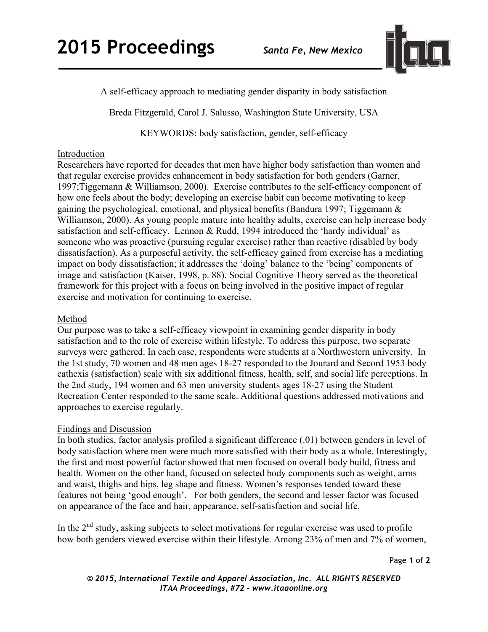

A self-efficacy approach to mediating gender disparity in body satisfaction

Breda Fitzgerald, Carol J. Salusso, Washington State University, USA

KEYWORDS: body satisfaction, gender, self-efficacy

## Introduction

Researchers have reported for decades that men have higher body satisfaction than women and that regular exercise provides enhancement in body satisfaction for both genders (Garner, 1997;Tiggemann & Williamson, 2000). Exercise contributes to the self-efficacy component of how one feels about the body; developing an exercise habit can become motivating to keep gaining the psychological, emotional, and physical benefits (Bandura 1997; Tiggemann & Williamson, 2000). As young people mature into healthy adults, exercise can help increase body satisfaction and self-efficacy. Lennon & Rudd, 1994 introduced the 'hardy individual' as someone who was proactive (pursuing regular exercise) rather than reactive (disabled by body dissatisfaction). As a purposeful activity, the self-efficacy gained from exercise has a mediating impact on body dissatisfaction; it addresses the 'doing' balance to the 'being' components of image and satisfaction (Kaiser, 1998, p. 88). Social Cognitive Theory served as the theoretical framework for this project with a focus on being involved in the positive impact of regular exercise and motivation for continuing to exercise.

## Method

Our purpose was to take a self-efficacy viewpoint in examining gender disparity in body satisfaction and to the role of exercise within lifestyle. To address this purpose, two separate surveys were gathered. In each case, respondents were students at a Northwestern university. In the 1st study, 70 women and 48 men ages 18-27 responded to the Jourard and Secord 1953 body cathexis (satisfaction) scale with six additional fitness, health, self, and social life perceptions. In the 2nd study, 194 women and 63 men university students ages 18-27 using the Student Recreation Center responded to the same scale. Additional questions addressed motivations and approaches to exercise regularly.

## Findings and Discussion

In both studies, factor analysis profiled a significant difference (.01) between genders in level of body satisfaction where men were much more satisfied with their body as a whole. Interestingly, the first and most powerful factor showed that men focused on overall body build, fitness and health. Women on the other hand, focused on selected body components such as weight, arms and waist, thighs and hips, leg shape and fitness. Women's responses tended toward these features not being 'good enough'. For both genders, the second and lesser factor was focused on appearance of the face and hair, appearance, self-satisfaction and social life.

In the  $2<sup>nd</sup>$  study, asking subjects to select motivations for regular exercise was used to profile how both genders viewed exercise within their lifestyle. Among 23% of men and 7% of women,